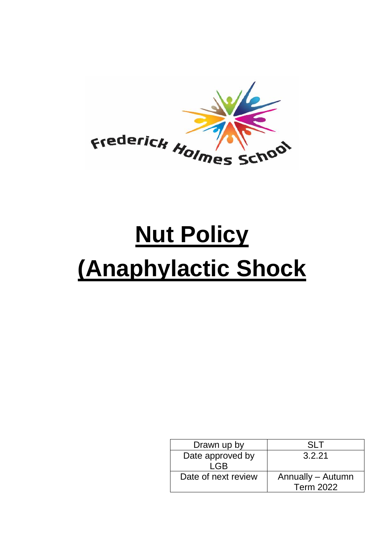

# **Nut Policy (Anaphylactic Shock**

| Drawn up by         | SL T              |
|---------------------|-------------------|
| Date approved by    | 3.2.21            |
| <b>LGB</b>          |                   |
| Date of next review | Annually - Autumn |
|                     | <b>Term 2022</b>  |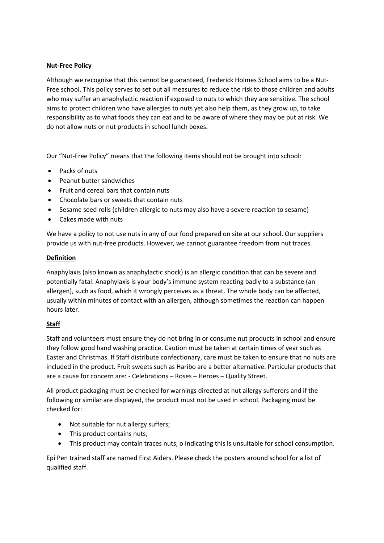## **Nut-Free Policy**

Although we recognise that this cannot be guaranteed, Frederick Holmes School aims to be a Nut-Free school. This policy serves to set out all measures to reduce the risk to those children and adults who may suffer an anaphylactic reaction if exposed to nuts to which they are sensitive. The school aims to protect children who have allergies to nuts yet also help them, as they grow up, to take responsibility as to what foods they can eat and to be aware of where they may be put at risk. We do not allow nuts or nut products in school lunch boxes.

Our "Nut-Free Policy" means that the following items should not be brought into school:

- Packs of nuts
- Peanut butter sandwiches
- Fruit and cereal bars that contain nuts
- Chocolate bars or sweets that contain nuts
- Sesame seed rolls (children allergic to nuts may also have a severe reaction to sesame)
- Cakes made with nuts

We have a policy to not use nuts in any of our food prepared on site at our school. Our suppliers provide us with nut-free products. However, we cannot guarantee freedom from nut traces.

## **Definition**

Anaphylaxis (also known as anaphylactic shock) is an allergic condition that can be severe and potentially fatal. Anaphylaxis is your body's immune system reacting badly to a substance (an allergen), such as food, which it wrongly perceives as a threat. The whole body can be affected, usually within minutes of contact with an allergen, although sometimes the reaction can happen hours later.

# **Staff**

Staff and volunteers must ensure they do not bring in or consume nut products in school and ensure they follow good hand washing practice. Caution must be taken at certain times of year such as Easter and Christmas. If Staff distribute confectionary, care must be taken to ensure that no nuts are included in the product. Fruit sweets such as Haribo are a better alternative. Particular products that are a cause for concern are: - Celebrations – Roses – Heroes – Quality Street.

All product packaging must be checked for warnings directed at nut allergy sufferers and if the following or similar are displayed, the product must not be used in school. Packaging must be checked for:

- Not suitable for nut allergy suffers;
- This product contains nuts;
- This product may contain traces nuts; o Indicating this is unsuitable for school consumption.

Epi Pen trained staff are named First Aiders. Please check the posters around school for a list of qualified staff.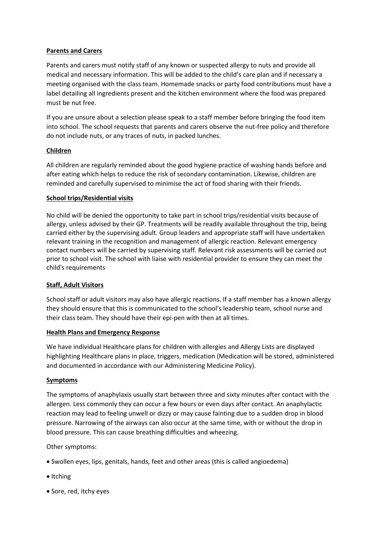## **Parents and Carers**

Parents and carers must notify staff of any known or suspected allergy to nuts and provide all medical and necessary information. This will be added to the child's care plan and if necessary a meeting organised with the class team. Homemade snacks or party food contributions must have a label detailing all ingredients present and the kitchen environment where the food was prepared must be nut free.

If you are unsure about a selection please speak to a staff member before bringing the food item into school. The school requests that parents and carers observe the nut-free policy and therefore do not include nuts, or any traces of nuts, in packed lunches.

## **Children**

All children are regularly reminded about the good hygiene practice of washing hands before and after eating which helps to reduce the risk of secondary contamination. Likewise, children are reminded and carefully supervised to minimise the act of food sharing with their friends.

#### **School trips/Residential visits**

No child will be denied the opportunity to take part in school trips/residential visits because of allergy, unless advised by their GP. Treatments will be readily available throughout the trip, being carried either by the supervising adult. Group leaders and appropriate staff will have undertaken relevant training in the recognition and management of allergic reaction. Relevant emergency contact numbers will be carried by supervising staff. Relevant risk assessments will be carried out prior to school visit. The school with liaise with residential provider to ensure they can meet the child's requirements

# **Staff, Adult Visitors**

School staff or adult visitors may also have allergic reactions. If a staff member has a known allergy they should ensure that this is communicated to the school's leadership team, school nurse and their class team. They should have their epi-pen with then at all times.

#### **Health Plans and Emergency Response**

We have individual Healthcare plans for children with allergies and Allergy Lists are displayed highlighting Healthcare plans in place, triggers, medication (Medication will be stored, administered and documented in accordance with our Administering Medicine Policy).

#### **Symptoms**

The symptoms of anaphylaxis usually start between three and sixty minutes after contact with the allergen. Less commonly they can occur a few hours or even days after contact. An anaphylactic reaction may lead to feeling unwell or dizzy or may cause fainting due to a sudden drop in blood pressure. Narrowing of the airways can also occur at the same time, with or without the drop in blood pressure. This can cause breathing difficulties and wheezing.

Other symptoms:

- Swollen eyes, lips, genitals, hands, feet and other areas (this is called angioedema)
- Itching
- Sore, red, itchy eyes